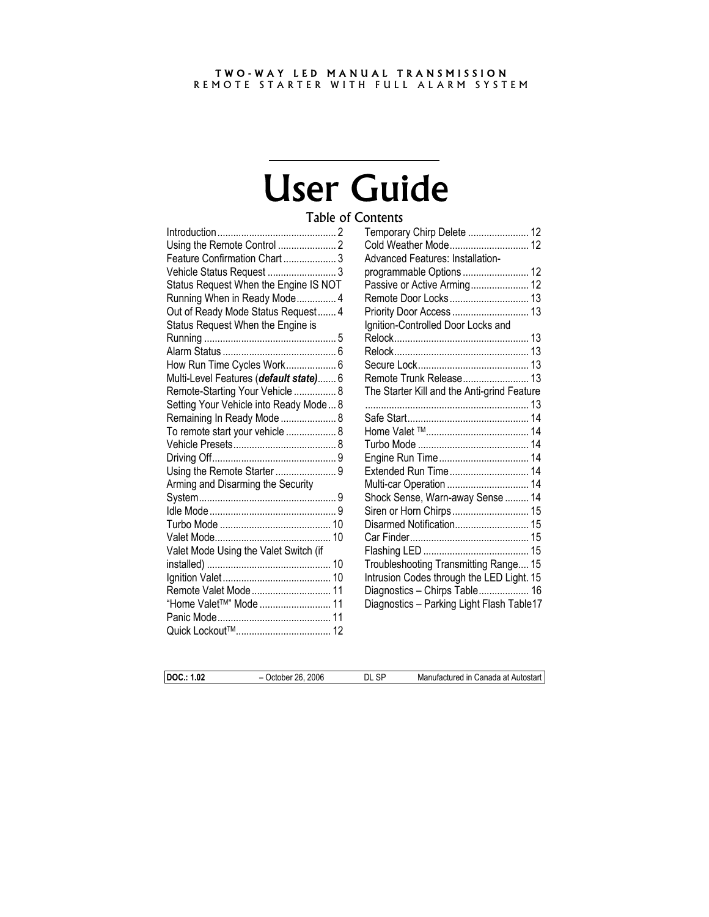#### TWO-WAY LED MANUAL TRANSMISSION REMOTE STARTER WITH FULL ALARM SYSTEM

# User Guide

## Table of Contents

| Feature Confirmation Chart  3          |
|----------------------------------------|
| Vehicle Status Request  3              |
| Status Request When the Engine IS NOT  |
| Running When in Ready Mode 4           |
| Out of Ready Mode Status Request 4     |
| Status Request When the Engine is      |
|                                        |
|                                        |
| How Run Time Cycles Work 6             |
| Multi-Level Features (default state) 6 |
| Remote-Starting Your Vehicle  8        |
| Setting Your Vehicle into Ready Mode 8 |
| Remaining In Ready Mode  8             |
| To remote start your vehicle  8        |
|                                        |
|                                        |
| Using the Remote Starter  9            |
| Arming and Disarming the Security      |
|                                        |
|                                        |
|                                        |
|                                        |
| Valet Mode Using the Valet Switch (if  |
|                                        |
|                                        |
| Remote Valet Mode 11                   |
| "Home Valet <sup>TM"</sup> Mode  11    |
|                                        |
|                                        |

| Temporary Chirp Delete  12                                                 |  |
|----------------------------------------------------------------------------|--|
| Cold Weather Mode 12                                                       |  |
| Advanced Features: Installation-                                           |  |
| programmable Options  12                                                   |  |
| Passive or Active Arming 12                                                |  |
| Remote Door Locks 13                                                       |  |
| Priority Door Access  13                                                   |  |
| Ignition-Controlled Door Locks and                                         |  |
|                                                                            |  |
|                                                                            |  |
|                                                                            |  |
| Remote Trunk Release 13                                                    |  |
| The Starter Kill and the Anti-grind Feature                                |  |
|                                                                            |  |
|                                                                            |  |
|                                                                            |  |
|                                                                            |  |
|                                                                            |  |
| Extended Run Time 14                                                       |  |
| Multi-car Operation  14                                                    |  |
| Shock Sense, Warn-away Sense  14                                           |  |
| Siren or Horn Chirps 15                                                    |  |
| Disarmed Notification 15                                                   |  |
|                                                                            |  |
|                                                                            |  |
| Troubleshooting Transmitting Range 15                                      |  |
| Intrusion Codes through the LED Light. 15                                  |  |
| Diagnostics - Chirps Table 16<br>Diagnostics - Parking Light Flash Table17 |  |
|                                                                            |  |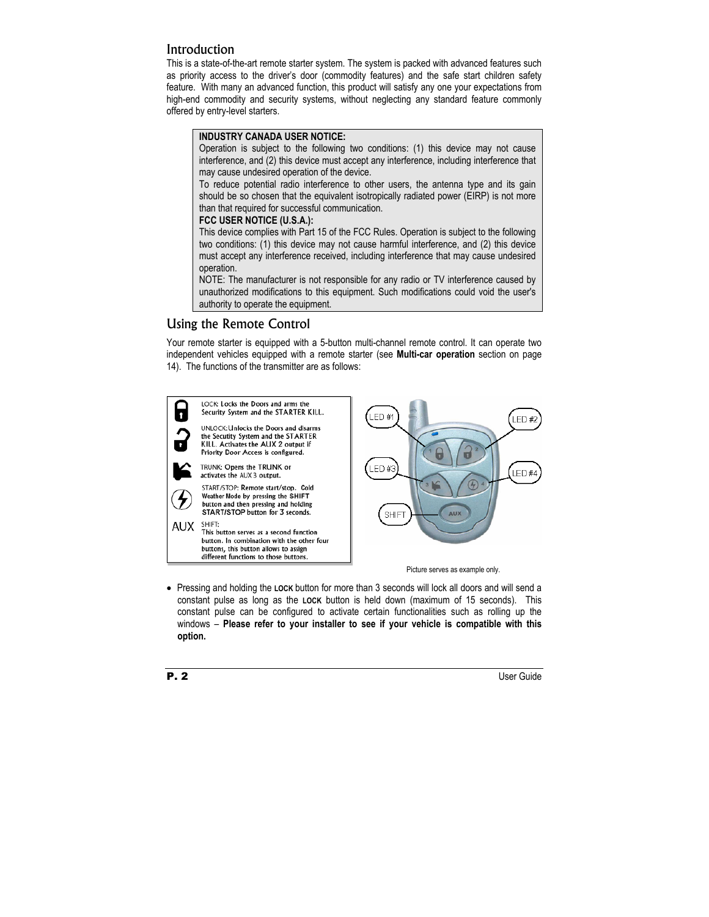## **Introduction**

This is a state-of-the-art remote starter system. The system is packed with advanced features such as priority access to the driver's door (commodity features) and the safe start children safety feature. With many an advanced function, this product will satisfy any one your expectations from high-end commodity and security systems, without neglecting any standard feature commonly offered by entry-level starters.

#### **INDUSTRY CANADA USER NOTICE:**

Operation is subject to the following two conditions: (1) this device may not cause interference, and (2) this device must accept any interference, including interference that may cause undesired operation of the device.

To reduce potential radio interference to other users, the antenna type and its gain should be so chosen that the equivalent isotropically radiated power (EIRP) is not more than that required for successful communication.

#### **FCC USER NOTICE (U.S.A.):**

This device complies with Part 15 of the FCC Rules. Operation is subject to the following two conditions: (1) this device may not cause harmful interference, and (2) this device must accept any interference received, including interference that may cause undesired operation.

NOTE: The manufacturer is not responsible for any radio or TV interference caused by unauthorized modifications to this equipment. Such modifications could void the user's authority to operate the equipment.

## Using the Remote Control

Your remote starter is equipped with a 5-button multi-channel remote control. It can operate two independent vehicles equipped with a remote starter (see **Multi-car operation** section on page 14). The functions of the transmitter are as follows:



• Pressing and holding the **LOCK** button for more than 3 seconds will lock all doors and will send a constant pulse as long as the **LOCK** button is held down (maximum of 15 seconds). This constant pulse can be configured to activate certain functionalities such as rolling up the windows – **Please refer to your installer to see if your vehicle is compatible with this option.**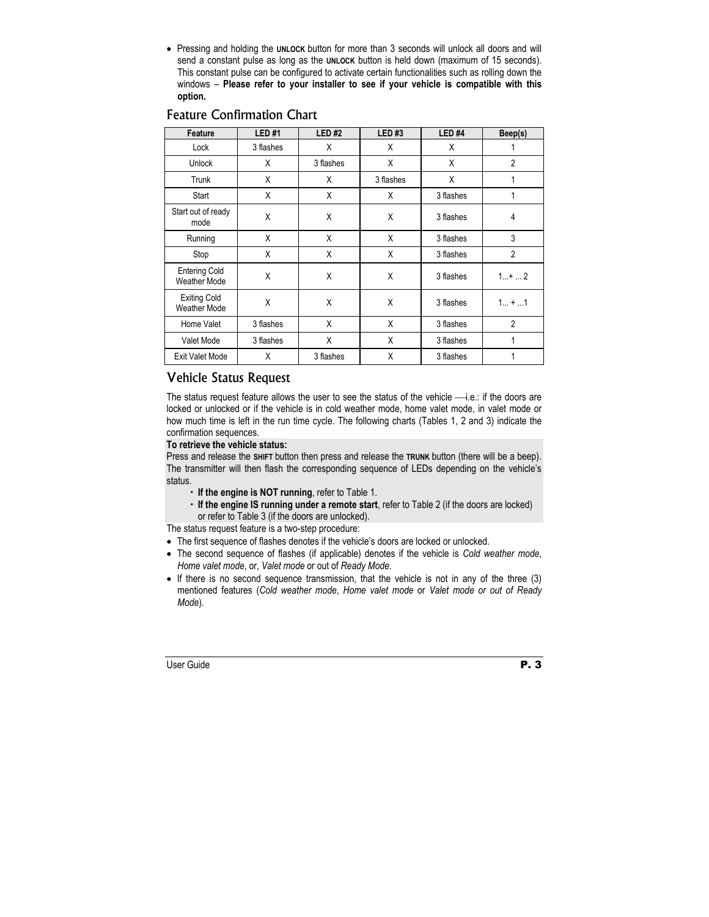• Pressing and holding the **UNLOCK** button for more than 3 seconds will unlock all doors and will send a constant pulse as long as the **UNLOCK** button is held down (maximum of 15 seconds). This constant pulse can be configured to activate certain functionalities such as rolling down the windows – **Please refer to your installer to see if your vehicle is compatible with this option.**

| Feature                                     | <b>LED#1</b> | <b>LED#2</b> | <b>LED#3</b> | LED <sub>#4</sub> | Beep(s)        |
|---------------------------------------------|--------------|--------------|--------------|-------------------|----------------|
| Lock                                        | 3 flashes    | Χ            | Χ            | Χ                 | 1              |
| <b>Unlock</b>                               | X            | 3 flashes    | X            | X                 | $\overline{2}$ |
| Trunk                                       | X            | X            | 3 flashes    | X                 | 1              |
| Start                                       | X            | X            | X            | 3 flashes         |                |
| Start out of ready<br>mode                  | X            | X            | X            | 3 flashes         | 4              |
| Running                                     | X            | Χ            | X            | 3 flashes         | 3              |
| Stop                                        | X            | Χ            | X            | 3 flashes         | $\overline{2}$ |
| <b>Entering Cold</b><br><b>Weather Mode</b> | X            | X            | X            | 3 flashes         | $1+2$          |
| <b>Exiting Cold</b><br><b>Weather Mode</b>  | X            | X            | X            | 3 flashes         | $1 +  1$       |
| Home Valet                                  | 3 flashes    | Χ            | X            | 3 flashes         | $\overline{2}$ |
| Valet Mode                                  | 3 flashes    | Χ            | X            | 3 flashes         | 1              |
| <b>Exit Valet Mode</b>                      | X            | 3 flashes    | X            | 3 flashes         |                |

## Feature Confirmation Chart

## Vehicle Status Request

The status request feature allows the user to see the status of the vehicle  $\longrightarrow$  i.e.: if the doors are locked or unlocked or if the vehicle is in cold weather mode, home valet mode, in valet mode or how much time is left in the run time cycle. The following charts (Tables 1, 2 and 3) indicate the confirmation sequences.

#### **To retrieve the vehicle status:**

Press and release the **SHIFT** button then press and release the **TRUNK** button (there will be a beep). The transmitter will then flash the corresponding sequence of LEDs depending on the vehicle's status.

- $\cdot$  If the engine is NOT running, refer to Table 1.
- x **If the engine IS running under a remote start**, refer to Table 2 (if the doors are locked) or refer to Table 3 (if the doors are unlocked).

The status request feature is a two-step procedure:

- The first sequence of flashes denotes if the vehicle's doors are locked or unlocked.
- The second sequence of flashes (if applicable) denotes if the vehicle is *Cold weather mode*, *Home valet mode*, or, *Valet mode* or out of *Ready Mode*.
- If there is no second sequence transmission, that the vehicle is not in any of the three (3) mentioned features (*Cold weather mode*, *Home valet mode* or *Valet mode or out of Ready Mode*).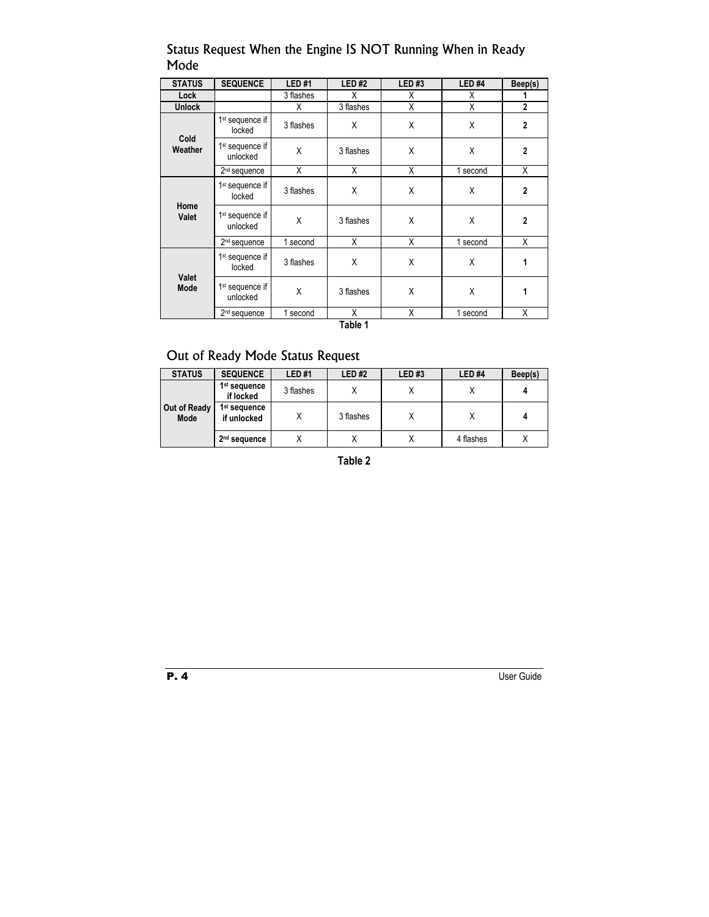## Status Request When the Engine IS NOT Running When in Ready Mode

| <b>STATUS</b>        | <b>SEQUENCE</b>                         | <b>LED#1</b> | <b>LED#2</b> | <b>LED#3</b> | <b>LED#4</b> | Beep(s)        |
|----------------------|-----------------------------------------|--------------|--------------|--------------|--------------|----------------|
| Lock                 |                                         | 3 flashes    | Χ            | х            | х            |                |
| <b>Unlock</b>        |                                         | χ            | 3 flashes    | X            | Χ            | $\overline{2}$ |
|                      | 1 <sup>st</sup> sequence if<br>locked   | 3 flashes    | X            | X            | X            | $\overline{2}$ |
| Cold<br>Weather      | 1 <sup>st</sup> sequence if<br>unlocked | X            | 3 flashes    | X            | X            | $\mathbf{2}$   |
|                      | 2 <sup>nd</sup> sequence                | X            | X            | X            | 1 second     | X              |
|                      | 1 <sup>st</sup> sequence if<br>locked   | 3 flashes    | X            | X            | X            | $\mathbf{2}$   |
| Home<br><b>Valet</b> | 1 <sup>st</sup> sequence if<br>unlocked | X            |              | X            | X            | $\overline{2}$ |
|                      | 2 <sup>nd</sup> sequence                | 1 second     | X            | X            | 1 second     | X              |
| Valet<br>Mode        | 1 <sup>st</sup> sequence if<br>locked   | 3 flashes    | X            | X            | X            | 1              |
|                      | 1 <sup>st</sup> sequence if<br>unlocked | X            | 3 flashes    | X            | X            | 1              |
|                      | 2 <sup>nd</sup> sequence                | 1 second     | X            | X            | 1 second     | Χ              |

**Table 1** 

## Out of Ready Mode Status Request

| <b>STATUS</b>        | <b>SEQUENCE</b>                         | LED #1    | <b>LED#2</b> | LED#3 | LED <sub>#4</sub> | Beep(s) |
|----------------------|-----------------------------------------|-----------|--------------|-------|-------------------|---------|
|                      | 1 <sup>st</sup> sequence<br>if locked   | 3 flashes |              | Х     |                   |         |
| Out of Ready<br>Mode | 1 <sup>st</sup> sequence<br>if unlocked |           | 3 flashes    | Х     |                   |         |
|                      | 2 <sup>nd</sup> sequence                |           |              | х     | 4 flashes         |         |

**Table 2**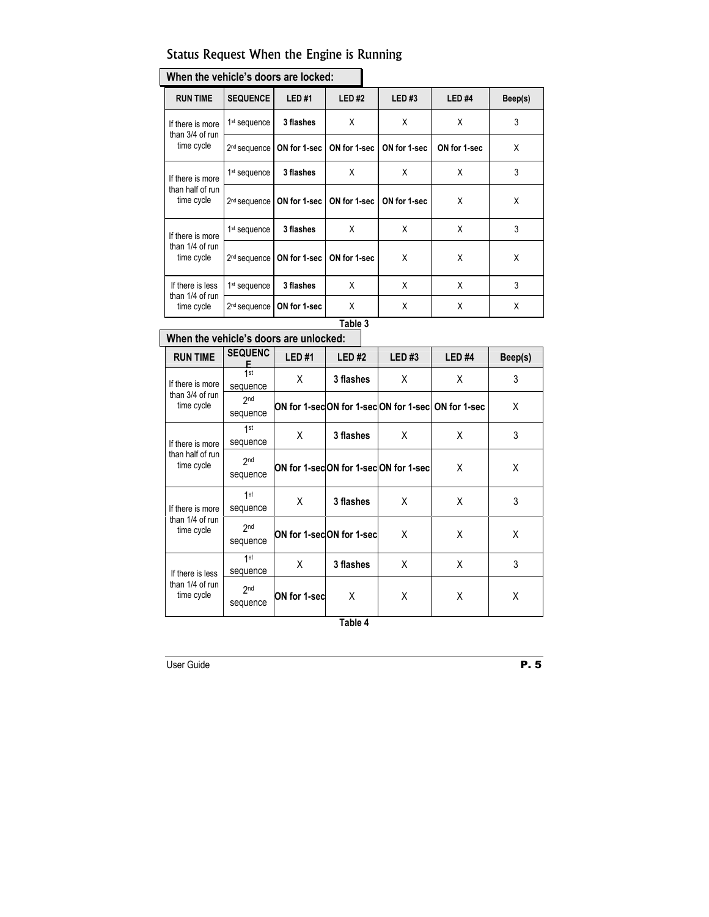## Status Request When the Engine is Running

| <u>WIICH HIC VEINCIE 3 UUUIS AIC IUCKEU.</u> |                          |              |              |              |                   |         |  |
|----------------------------------------------|--------------------------|--------------|--------------|--------------|-------------------|---------|--|
| <b>RUN TIME</b>                              | <b>SEQUENCE</b>          | <b>LED#1</b> | <b>LED#2</b> | <b>LED#3</b> | LED <sub>#4</sub> | Beep(s) |  |
| If there is more                             | 1 <sup>st</sup> sequence | 3 flashes    | X            | X            | X                 | 3       |  |
| than 3/4 of run<br>time cycle                | 2 <sup>nd</sup> sequence | ON for 1-sec | ON for 1-sec | ON for 1-sec | ON for 1-sec      | X       |  |
| If there is more                             | 1 <sup>st</sup> sequence | 3 flashes    | X            | Χ            | X                 | 3       |  |
| than half of run<br>time cycle               | 2 <sup>nd</sup> sequence | ON for 1-sec | ON for 1-sec | ON for 1-sec | X                 | X       |  |
| If there is more                             | 1 <sup>st</sup> sequence | 3 flashes    | X            | X            | X                 | 3       |  |
| than 1/4 of run<br>time cycle                | 2 <sup>nd</sup> sequence | ON for 1-sec | ON for 1-sec | Χ            | X                 | X       |  |
| If there is less                             | 1 <sup>st</sup> sequence | 3 flashes    | X            | X            | X                 | 3       |  |
| than 1/4 of run<br>time cycle                | 2 <sup>nd</sup> sequence | ON for 1-sec | X            | X            | X                 | X       |  |

# **When the vehicle's doors are locked:**

## **Table 3**

# **When the vehicle's doors are unlocked:**

| <b>RUN TIME</b>                                   | <b>SEQUENC</b><br>F         | <b>LED#1</b> | <b>LED#2</b>             | LED#3                                | LED <sub>#4</sub>                                 | Beep(s) |
|---------------------------------------------------|-----------------------------|--------------|--------------------------|--------------------------------------|---------------------------------------------------|---------|
| If there is more                                  | 1st<br>sequence             | X            | 3 flashes                | X                                    | X                                                 | 3       |
| than 3/4 of run<br>time cycle                     | 2 <sub>nd</sub><br>sequence |              |                          |                                      | ON for 1-secON for 1-secON for 1-sec ON for 1-sec | X       |
| If there is more                                  | 1st<br>sequence             | X            | 3 flashes                | X                                    | Χ                                                 | 3       |
| than half of run<br>time cycle                    | 2 <sub>nd</sub><br>sequence |              |                          | ON for 1-secON for 1-secON for 1-sec | Χ                                                 | X       |
| If there is more                                  | 1st<br>sequence             | X            | 3 flashes                | X                                    | Χ                                                 | 3       |
| than 1/4 of run<br>time cycle                     | 2 <sub>nd</sub><br>sequence |              | ON for 1-secON for 1-sec | X                                    | X                                                 | X       |
| If there is less<br>than 1/4 of run<br>time cycle | 1st<br>sequence             | X            | 3 flashes                | X                                    | X                                                 | 3       |
|                                                   | 2 <sub>nd</sub><br>sequence | ON for 1-sec | x                        | X                                    | X                                                 | Χ       |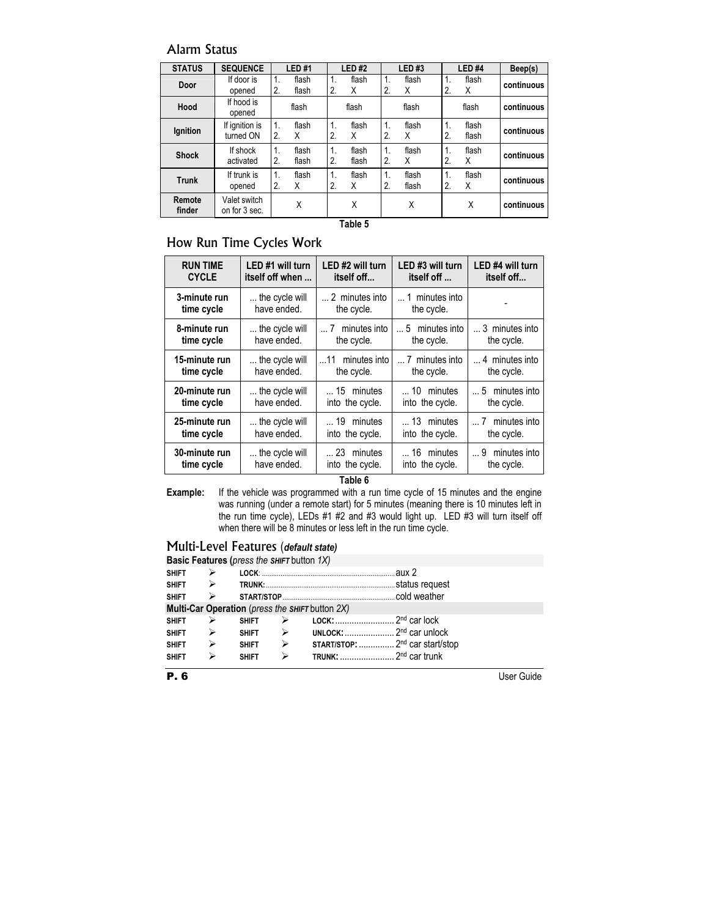## Alarm Status

| <b>STATUS</b>    | <b>SEQUENCE</b>               | LED#1                                | <b>LED#2</b>                           | <b>LED#3</b>                    | LED <sub>#4</sub>                  | Beep(s)    |
|------------------|-------------------------------|--------------------------------------|----------------------------------------|---------------------------------|------------------------------------|------------|
| Door             | If door is<br>opened          | $\mathbf 1$<br>flash<br>2.<br>flash  | $\mathbf{1}$ .<br>flash<br>2.<br>X     | flash<br>1.<br>2.<br>X          | flash<br>$\mathbf{1}$ .<br>X<br>2. | continuous |
| Hood             | If hood is<br>opened          | flash                                | flash                                  | flash                           | flash                              | continuous |
| Ignition         | If ignition is<br>turned ON   | 1.<br>flash<br>2.<br>X               | 1.<br>flash<br>2.<br>X                 | flash<br>$\mathbf 1$<br>2.<br>X | flash<br>1.<br>2.<br>flash         | continuous |
| <b>Shock</b>     | If shock<br>activated         | $\mathbf{1}$<br>flash<br>2.<br>flash | $\mathbf{1}$ .<br>flash<br>2.<br>flash | flash<br>1.<br>2.<br>X          | flash<br>$\mathbf{1}$<br>X<br>2.   | continuous |
| <b>Trunk</b>     | If trunk is<br>opened         | $\mathbf{1}$<br>flash<br>2.<br>X     | $\mathbf 1$<br>flash<br>2.<br>X        | flash<br>1.<br>2.<br>flash      | flash<br>1.<br>2.<br>X             | continuous |
| Remote<br>finder | Valet switch<br>on for 3 sec. | X                                    | X                                      | Χ                               | X                                  | continuous |

**Table 5** 

## How Run Time Cycles Work

| <b>RUN TIME</b>             | LED #1 will turn              | LED #2 will turn              | LED #3 will turn                      | LED #4 will turn                        |
|-----------------------------|-------------------------------|-------------------------------|---------------------------------------|-----------------------------------------|
| <b>CYCLE</b>                | itself off when               | itself off                    | itself off                            | itself off                              |
| 3-minute run                | the cycle will                | 2 minutes into                | 1 minutes into                        |                                         |
| time cycle                  | have ended.                   | the cycle.                    | the cycle.                            |                                         |
| 8-minute run                | the cycle will                | $\dots$ 7 minutes into        | $\dots$ 5 minutes into                | 3 minutes into                          |
| time cycle                  | have ended.                   | the cycle.                    | the cycle.                            | the cycle.                              |
| 15-minute run               | the cycle will                | 11 minutes into               | 7 minutes into                        | 4 minutes into                          |
| time cycle                  | have ended.                   | the cycle.                    | the cycle.                            | the cycle.                              |
| 20-minute run               | the cycle will                | $\dots$ 15 minutes            | $\dots$ 10 minutes                    | $\dots$ 5 minutes into                  |
| time cycle                  | have ended.                   | into the cycle.               | into the cycle.                       | the cycle.                              |
| 25-minute run<br>time cycle | the cycle will<br>have ended. | 19 minutes<br>into the cycle. | $\dots$ 13 minutes<br>into the cycle. | minutes into<br>$\dots 7$<br>the cycle. |
| 30-minute run               | the cycle will                | 23 minutes                    | $\dots$ 16 minutes                    | 9 minutes into                          |
| time cycle                  | have ended.                   | into the cycle.               | into the cycle.                       | the cycle.                              |

**Table 6** 

**Example:** If the vehicle was programmed with a run time cycle of 15 minutes and the engine was running (under a remote start) for 5 minutes (meaning there is 10 minutes left in the run time cycle), LEDs #1 #2 and #3 would light up. LED #3 will turn itself off when there will be 8 minutes or less left in the run time cycle.

## Multi-Level Features (*default state)*

|                        | <b>Basic Features (press the SHIFT button 1X)</b> |                               |                  |                                                   |  |  |  |  |
|------------------------|---------------------------------------------------|-------------------------------|------------------|---------------------------------------------------|--|--|--|--|
| SHIFT $\triangleright$ |                                                   |                               |                  |                                                   |  |  |  |  |
| SHIFT $\triangleright$ |                                                   |                               |                  |                                                   |  |  |  |  |
|                        |                                                   |                               |                  |                                                   |  |  |  |  |
|                        | Multi-Car Operation (press the SHIFT button 2X)   |                               |                  |                                                   |  |  |  |  |
| <b>SHIFT</b>           | ➤                                                 | <b>SHIFT</b>                  | ➤                |                                                   |  |  |  |  |
| SHIFT $\triangleright$ |                                                   | $\rightarrow$<br><b>SHIFT</b> |                  | UNLOCK: $\ldots$ 2 <sup>nd</sup> car unlock       |  |  |  |  |
| <b>SHIFT</b>           | $\blacktriangleright$                             | <b>SHIFT</b>                  | $\triangleright$ | <b>START/STOP:</b> 2 <sup>nd</sup> car start/stop |  |  |  |  |
| <b>SHIFT</b>           | ⋗                                                 | <b>SHIFT</b>                  | ⋗                |                                                   |  |  |  |  |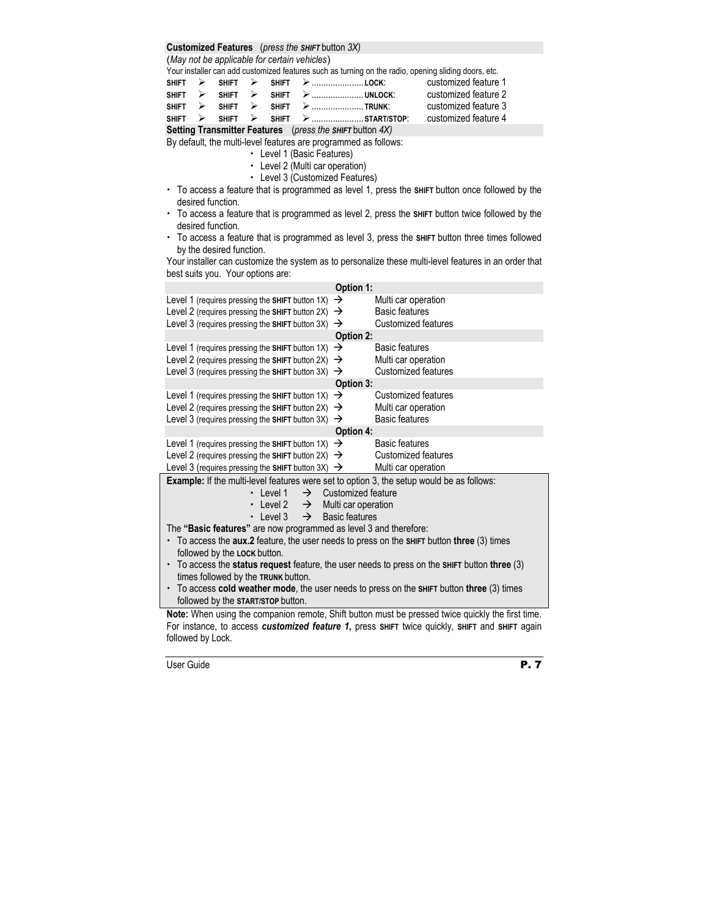#### **Customized Features** (*press the SHIFT* button *3X)*

(*May not be applicable for certain vehicles*)

Your installer can add customized features such as turning on the radio, opening sliding doors, etc.

|  |  | $SHIFT \geq SHIFT \geq SHIFT \geq 10CK$                      | customized feature 1 |
|--|--|--------------------------------------------------------------|----------------------|
|  |  | $SHIFT \rightarrow SHIFT \rightarrow SHIFT \rightarrow $     | customized feature 2 |
|  |  | $SHIFT \geqslant SHIFT \geqslant SHIFT \geqslant 1$ . Trunk: | customized feature 3 |
|  |  | $SHIFT \geq SHIFT \geq SHIFT \geq \ldots$ SHIFT              | customized feature 4 |

**Setting Transmitter Features** (*press the SHIFT* button *4X)*

By default, the multi-level features are programmed as follows:

- Level 1 (Basic Features)
- Level 2 (Multi car operation)
- Level 3 (Customized Features)
- x To access a feature that is programmed as level 1, press the **SHIFT** button once followed by the desired function.
- x To access a feature that is programmed as level 2, press the **SHIFT** button twice followed by the desired function.
- x To access a feature that is programmed as level 3, press the **SHIFT** button three times followed by the desired function.

Your installer can customize the system as to personalize these multi-level features in an order that best suits you. Your options are:

| Option 1:                                                                                           |                                  |  |  |  |  |  |
|-----------------------------------------------------------------------------------------------------|----------------------------------|--|--|--|--|--|
| Level 1 (requires pressing the SHIFT button 1X)<br>→                                                | Multi car operation              |  |  |  |  |  |
| Level 2 (requires pressing the SHIFT button 2X)<br>$\rightarrow$                                    | <b>Basic features</b>            |  |  |  |  |  |
| Level 3 (requires pressing the SHIFT button 3X)<br>$\rightarrow$                                    | Customized features              |  |  |  |  |  |
|                                                                                                     | Option 2:                        |  |  |  |  |  |
| Level 1 (requires pressing the SHIFT button 1X)<br>→                                                | <b>Basic features</b>            |  |  |  |  |  |
| Level 2 (requires pressing the SHIFT button 2X)<br>$\rightarrow$                                    | Multi car operation              |  |  |  |  |  |
| Level 3 (requires pressing the SHIFT button 3X)<br>$\rightarrow$                                    | Customized features              |  |  |  |  |  |
|                                                                                                     | Option 3:                        |  |  |  |  |  |
| Level 1 (requires pressing the SHIFT button 1X)<br>$\rightarrow$                                    | Customized features              |  |  |  |  |  |
| Level 2 (requires pressing the SHIFT button 2X)<br>$\rightarrow$                                    | Multi car operation              |  |  |  |  |  |
| Level 3 (requires pressing the SHIFT button 3X)<br>→                                                | <b>Basic features</b>            |  |  |  |  |  |
|                                                                                                     | Option 4:                        |  |  |  |  |  |
| Level 1 (requires pressing the SHIFT button 1X)<br>$\rightarrow$                                    | Basic features                   |  |  |  |  |  |
| Level 2 (requires pressing the SHIFT button 2X) $\rightarrow$                                       | Customized features              |  |  |  |  |  |
| Level 3 (requires pressing the SHIFT button 3X) $\rightarrow$                                       | Multi car operation              |  |  |  |  |  |
| Example: If the multi-level features were set to option 3, the setup would be as follows:           |                                  |  |  |  |  |  |
| $\cdot$   evel 1                                                                                    | $\rightarrow$ Customized feature |  |  |  |  |  |
| • Level 2 $\rightarrow$ Multi car operation                                                         |                                  |  |  |  |  |  |
| • Level 3 $\rightarrow$ Basic features                                                              |                                  |  |  |  |  |  |
| The "Basic features" are now programmed as level 3 and therefore:                                   |                                  |  |  |  |  |  |
| $\cdot$ To access the aux.2 feature, the user needs to press on the SHIFT button three (3) times    |                                  |  |  |  |  |  |
| followed by the LOCK button.                                                                        |                                  |  |  |  |  |  |
| $\cdot$ To access the status request feature, the user needs to press on the SHIFT button three (3) |                                  |  |  |  |  |  |
| times followed by the TRUNK button.                                                                 |                                  |  |  |  |  |  |
| • To access cold weather mode, the user needs to press on the SHIFT button three (3) times          |                                  |  |  |  |  |  |
| followed by the START/STOP button.                                                                  |                                  |  |  |  |  |  |

**Note:** When using the companion remote, Shift button must be pressed twice quickly the first time. For instance, to access *customized feature 1***,** press **SHIFT** twice quickly, **SHIFT** and **SHIFT** again followed by Lock.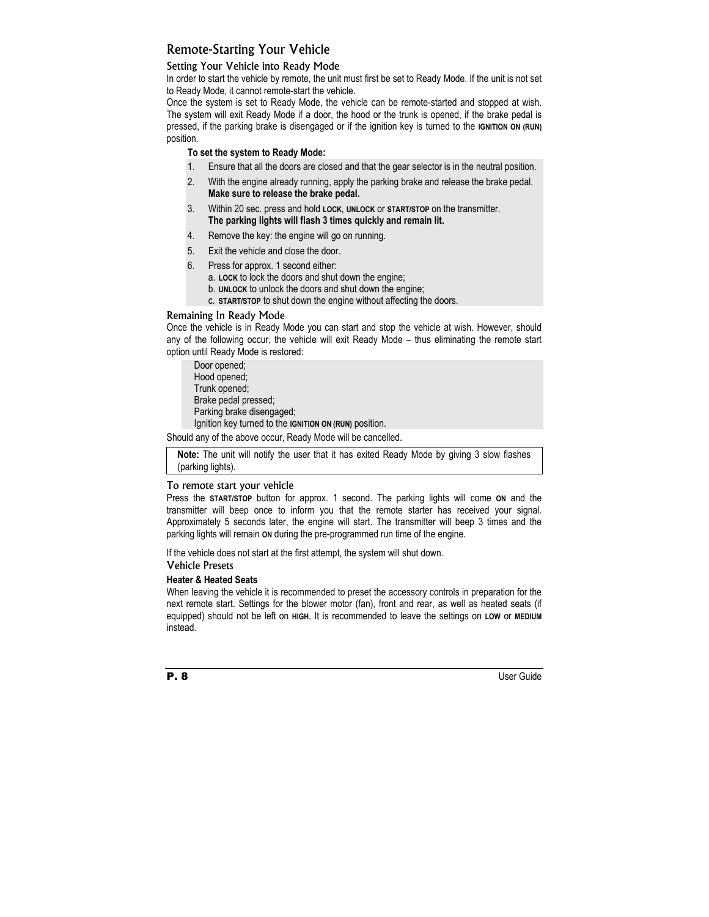## Remote-Starting Your Vehicle

#### Setting Your Vehicle into Ready Mode

In order to start the vehicle by remote, the unit must first be set to Ready Mode. If the unit is not set to Ready Mode, it cannot remote-start the vehicle.

Once the system is set to Ready Mode, the vehicle can be remote-started and stopped at wish. The system will exit Ready Mode if a door, the hood or the trunk is opened, if the brake pedal is pressed, if the parking brake is disengaged or if the ignition key is turned to the **IGNITION ON (RUN)** position.

#### **To set the system to Ready Mode:**

- 1. Ensure that all the doors are closed and that the gear selector is in the neutral position.
- 2. With the engine already running, apply the parking brake and release the brake pedal. **Make sure to release the brake pedal.**
- 3. Within 20 sec. press and hold **LOCK**, **UNLOCK** or **START/STOP** on the transmitter. **The parking lights will flash 3 times quickly and remain lit.**
- 4. Remove the key: the engine will go on running.
- 5. Exit the vehicle and close the door.
- 6. Press for approx. 1 second either:
	- a. **LOCK** to lock the doors and shut down the engine;
	- b. **UNLOCK** to unlock the doors and shut down the engine;
	- c. **START/STOP** to shut down the engine without affecting the doors.

#### Remaining In Ready Mode

Once the vehicle is in Ready Mode you can start and stop the vehicle at wish. However, should any of the following occur, the vehicle will exit Ready Mode – thus eliminating the remote start option until Ready Mode is restored:

Door opened; Hood opened; Trunk opened; Brake pedal pressed; Parking brake disengaged; Ignition key turned to the **IGNITION ON (RUN)** position.

Should any of the above occur, Ready Mode will be cancelled.

**Note:** The unit will notify the user that it has exited Ready Mode by giving 3 slow flashes (parking lights).

#### To remote start your vehicle

Press the **START/STOP** button for approx. 1 second. The parking lights will come **ON** and the transmitter will beep once to inform you that the remote starter has received your signal. Approximately 5 seconds later, the engine will start. The transmitter will beep 3 times and the parking lights will remain **ON** during the pre-programmed run time of the engine.

If the vehicle does not start at the first attempt, the system will shut down.

#### Vehicle Presets

#### **Heater & Heated Seats**

When leaving the vehicle it is recommended to preset the accessory controls in preparation for the next remote start. Settings for the blower motor (fan), front and rear, as well as heated seats (if equipped) should not be left on **HIGH**. It is recommended to leave the settings on **LOW** or **MEDIUM** instead.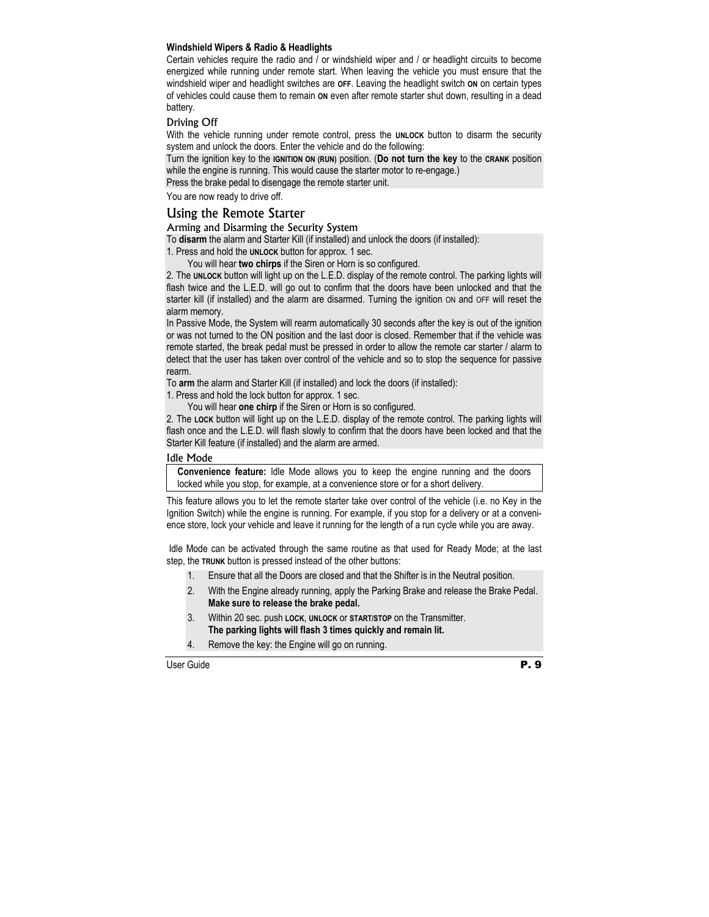#### **Windshield Wipers & Radio & Headlights**

Certain vehicles require the radio and / or windshield wiper and / or headlight circuits to become energized while running under remote start. When leaving the vehicle you must ensure that the windshield wiper and headlight switches are **OFF**. Leaving the headlight switch **ON** on certain types of vehicles could cause them to remain **ON** even after remote starter shut down, resulting in a dead battery.

#### Driving Off

With the vehicle running under remote control, press the **UNLOCK** button to disarm the security system and unlock the doors. Enter the vehicle and do the following:

Turn the ignition key to the **IGNITION ON (RUN)** position. (**Do not turn the key** to the **CRANK** position while the engine is running. This would cause the starter motor to re-engage.)

Press the brake pedal to disengage the remote starter unit.

You are now ready to drive off.

#### Using the Remote Starter

#### Arming and Disarming the Security System

To **disarm** the alarm and Starter Kill (if installed) and unlock the doors (if installed):

1. Press and hold the **UNLOCK** button for approx. 1 sec.

You will hear **two chirps** if the Siren or Horn is so configured.

2. The **UNLOCK** button will light up on the L.E.D. display of the remote control. The parking lights will flash twice and the L.E.D. will go out to confirm that the doors have been unlocked and that the starter kill (if installed) and the alarm are disarmed. Turning the ignition ON and OFF will reset the alarm memory.

In Passive Mode, the System will rearm automatically 30 seconds after the key is out of the ignition or was not turned to the ON position and the last door is closed. Remember that if the vehicle was remote started, the break pedal must be pressed in order to allow the remote car starter / alarm to detect that the user has taken over control of the vehicle and so to stop the sequence for passive rearm.

To **arm** the alarm and Starter Kill (if installed) and lock the doors (if installed):

1. Press and hold the lock button for approx. 1 sec.

You will hear **one chirp** if the Siren or Horn is so configured.

2. The **LOCK** button will light up on the L.E.D. display of the remote control. The parking lights will flash once and the L.E.D. will flash slowly to confirm that the doors have been locked and that the Starter Kill feature (if installed) and the alarm are armed.

#### Idle Mode

**Convenience feature:** Idle Mode allows you to keep the engine running and the doors locked while you stop, for example, at a convenience store or for a short delivery.

This feature allows you to let the remote starter take over control of the vehicle (i.e. no Key in the Ignition Switch) while the engine is running. For example, if you stop for a delivery or at a convenience store, lock your vehicle and leave it running for the length of a run cycle while you are away.

 Idle Mode can be activated through the same routine as that used for Ready Mode; at the last step, the **TRUNK** button is pressed instead of the other buttons:

- 1. Ensure that all the Doors are closed and that the Shifter is in the Neutral position.
- 2. With the Engine already running, apply the Parking Brake and release the Brake Pedal. **Make sure to release the brake pedal.**
- 3. Within 20 sec. push **LOCK**, **UNLOCK** or **START/STOP** on the Transmitter. **The parking lights will flash 3 times quickly and remain lit.**
- 4. Remove the key: the Engine will go on running.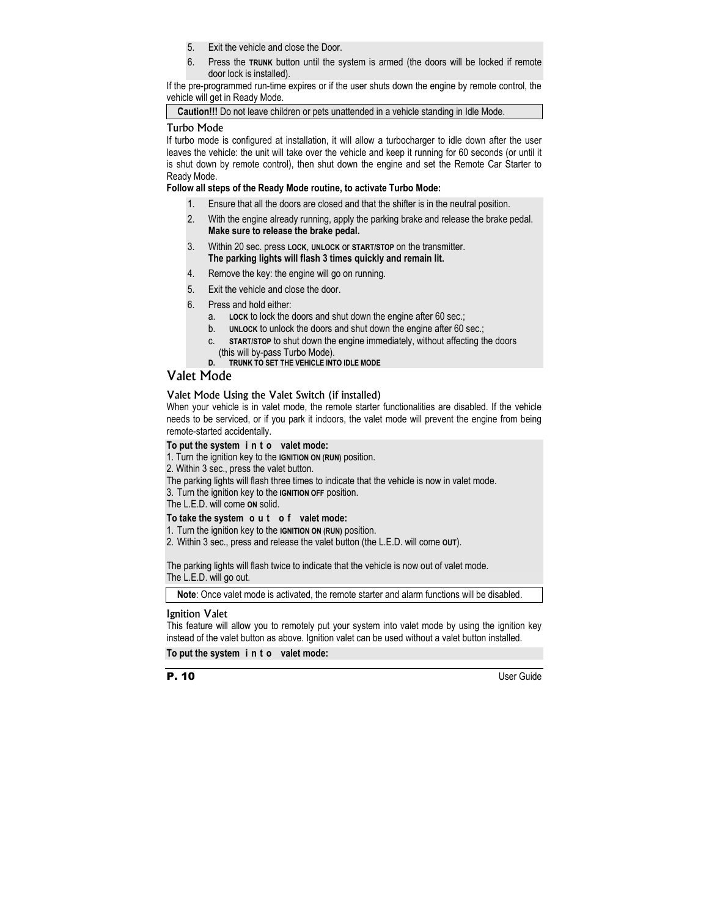- 5. Exit the vehicle and close the Door.
- 6. Press the **TRUNK** button until the system is armed (the doors will be locked if remote door lock is installed).

If the pre-programmed run-time expires or if the user shuts down the engine by remote control, the vehicle will get in Ready Mode.

**Caution!!!** Do not leave children or pets unattended in a vehicle standing in Idle Mode.

#### Turbo Mode

If turbo mode is configured at installation, it will allow a turbocharger to idle down after the user leaves the vehicle: the unit will take over the vehicle and keep it running for 60 seconds (or until it is shut down by remote control), then shut down the engine and set the Remote Car Starter to Ready Mode.

#### **Follow all steps of the Ready Mode routine, to activate Turbo Mode:**

- 1. Ensure that all the doors are closed and that the shifter is in the neutral position.
- 2. With the engine already running, apply the parking brake and release the brake pedal. **Make sure to release the brake pedal.**
- 3. Within 20 sec. press **LOCK**, **UNLOCK** or **START/STOP** on the transmitter. **The parking lights will flash 3 times quickly and remain lit.**
- 4. Remove the key: the engine will go on running.
- 5. Exit the vehicle and close the door.
- 6. Press and hold either:
	- a. **LOCK** to lock the doors and shut down the engine after 60 sec.;
	- b. **UNLOCK** to unlock the doors and shut down the engine after 60 sec.;
	- c. **START/STOP** to shut down the engine immediately, without affecting the doors (this will by-pass Turbo Mode).
	- **D. TRUNK TO SET THE VEHICLE INTO IDLE MODE**

## Valet Mode

#### Valet Mode Using the Valet Switch (if installed)

When your vehicle is in valet mode, the remote starter functionalities are disabled. If the vehicle needs to be serviced, or if you park it indoors, the valet mode will prevent the engine from being remote-started accidentally.

#### **To put the system i n t o valet mode:**

- 1. Turn the ignition key to the **IGNITION ON (RUN)** position.
- 2. Within 3 sec., press the valet button.
- The parking lights will flash three times to indicate that the vehicle is now in valet mode.
- 3. Turn the ignition key to the **IGNITION OFF** position.

The L.E.D. will come **ON** solid.

#### **To take the system o u t o f valet mode:**

- 1. Turn the ignition key to the **IGNITION ON (RUN)** position.
- 2. Within 3 sec., press and release the valet button (the L.E.D. will come **OUT**).

The parking lights will flash twice to indicate that the vehicle is now out of valet mode. The L.E.D. will go out.

**Note**: Once valet mode is activated, the remote starter and alarm functions will be disabled.

#### Ignition Valet

This feature will allow you to remotely put your system into valet mode by using the ignition key instead of the valet button as above. Ignition valet can be used without a valet button installed.

**To put the system i n t o valet mode:**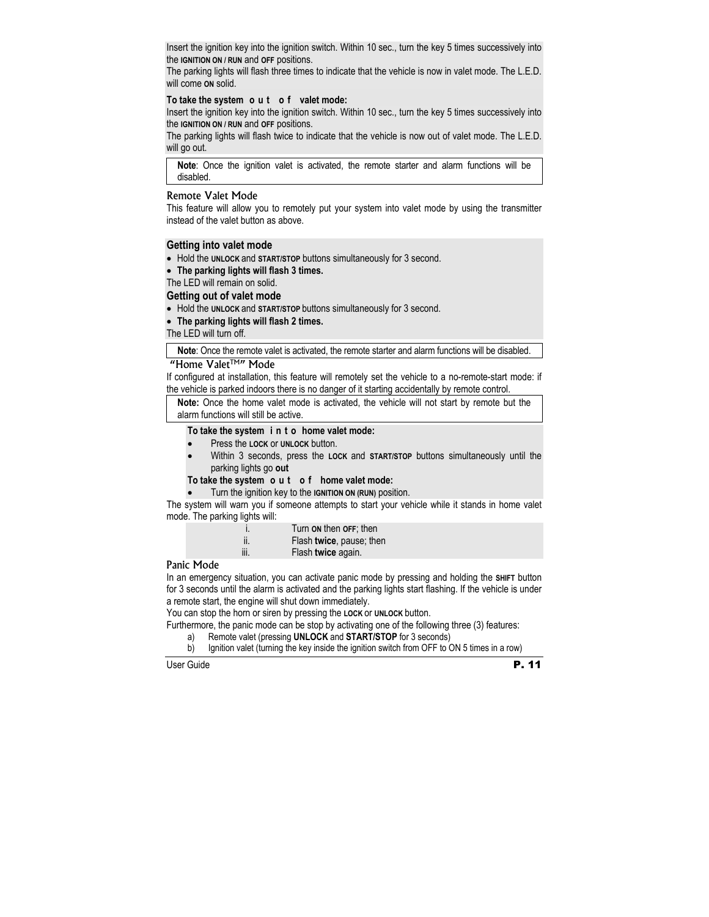Insert the ignition key into the ignition switch. Within 10 sec., turn the key 5 times successively into the **IGNITION ON / RUN** and **OFF** positions.

The parking lights will flash three times to indicate that the vehicle is now in valet mode. The L.E.D. will come **ON** solid.

#### **To take the system o u t o f valet mode:**

Insert the ignition key into the ignition switch. Within 10 sec., turn the key 5 times successively into the **IGNITION ON / RUN** and **OFF** positions.

The parking lights will flash twice to indicate that the vehicle is now out of valet mode. The L.E.D. will go out.

**Note**: Once the ignition valet is activated, the remote starter and alarm functions will be disabled.

#### Remote Valet Mode

This feature will allow you to remotely put your system into valet mode by using the transmitter instead of the valet button as above.

#### **Getting into valet mode**

- Hold the **UNLOCK** and **START/STOP** buttons simultaneously for 3 second.
- **The parking lights will flash 3 times.**

The LED will remain on solid.

#### **Getting out of valet mode**

- Hold the **UNLOCK** and **START/STOP** buttons simultaneously for 3 second.
- **The parking lights will flash 2 times.**

The LED will turn off.

**Note**: Once the remote valet is activated, the remote starter and alarm functions will be disabled.

#### "Home ValetTM" Mode

If configured at installation, this feature will remotely set the vehicle to a no-remote-start mode: if the vehicle is parked indoors there is no danger of it starting accidentally by remote control.

**Note:** Once the home valet mode is activated, the vehicle will not start by remote but the alarm functions will still be active.

#### **To take the system i n t o home valet mode:**

- Press the **LOCK** or **UNLOCK** button.
- Within 3 seconds, press the **LOCK** and **START/STOP** buttons simultaneously until the parking lights go **out**

#### **To take the system o u t o f home valet mode:**

• Turn the ignition key to the **IGNITION ON (RUN)** position.

The system will warn you if someone attempts to start your vehicle while it stands in home valet mode. The parking lights will:

| $\ddot{1}$ | Turn on then OFF; then   |
|------------|--------------------------|
| ii.        | Flash twice, pause; then |
| iii.       | Flash twice again.       |

#### Panic Mode

In an emergency situation, you can activate panic mode by pressing and holding the **SHIFT** button for 3 seconds until the alarm is activated and the parking lights start flashing. If the vehicle is under a remote start, the engine will shut down immediately.

You can stop the horn or siren by pressing the **LOCK** or **UNLOCK** button.

Furthermore, the panic mode can be stop by activating one of the following three (3) features:

- a) Remote valet (pressing **UNLOCK** and **START/STOP** for 3 seconds)
- b) Ignition valet (turning the key inside the ignition switch from OFF to ON 5 times in a row)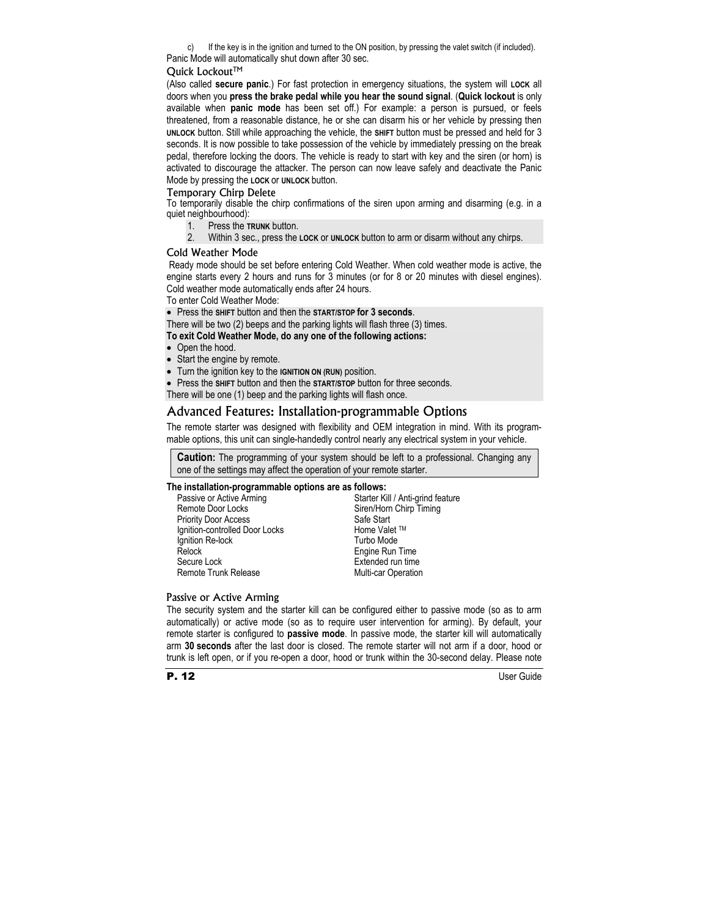c) If the key is in the ignition and turned to the ON position, by pressing the valet switch (if included). Panic Mode will automatically shut down after 30 sec.

#### Quick Lockout™

(Also called **secure panic**.) For fast protection in emergency situations, the system will **LOCK** all doors when you **press the brake pedal while you hear the sound signal**. (**Quick lockout** is only available when **panic mode** has been set off.) For example: a person is pursued, or feels threatened, from a reasonable distance, he or she can disarm his or her vehicle by pressing then **UNLOCK** button. Still while approaching the vehicle, the **SHIFT** button must be pressed and held for 3 seconds. It is now possible to take possession of the vehicle by immediately pressing on the break pedal, therefore locking the doors. The vehicle is ready to start with key and the siren (or horn) is activated to discourage the attacker. The person can now leave safely and deactivate the Panic Mode by pressing the **LOCK** or **UNLOCK** button.

#### Temporary Chirp Delete

To temporarily disable the chirp confirmations of the siren upon arming and disarming (e.g. in a quiet neighbourhood):

- 1. Press the **TRUNK** button.
- 2. Within 3 sec., press the **LOCK** or **UNLOCK** button to arm or disarm without any chirps.

#### Cold Weather Mode

 Ready mode should be set before entering Cold Weather. When cold weather mode is active, the engine starts every 2 hours and runs for 3 minutes (or for 8 or 20 minutes with diesel engines). Cold weather mode automatically ends after 24 hours.

To enter Cold Weather Mode:

• Press the **SHIFT** button and then the **START/STOP for 3 seconds**.

There will be two (2) beeps and the parking lights will flash three (3) times.

#### **To exit Cold Weather Mode, do any one of the following actions:**

- Open the hood.
- Start the engine by remote.
- Turn the ignition key to the **IGNITION ON (RUN)** position.
- Press the **SHIFT** button and then the **START/STOP** button for three seconds.

There will be one (1) beep and the parking lights will flash once.

## Advanced Features: Installation-programmable Options

The remote starter was designed with flexibility and OEM integration in mind. With its programmable options, this unit can single-handedly control nearly any electrical system in your vehicle.

**Caution:** The programming of your system should be left to a professional. Changing any one of the settings may affect the operation of your remote starter.

#### **The installation-programmable options are as follows:**

| Passive or Active Arming       | Starter Kill / Anti-grind feature |
|--------------------------------|-----------------------------------|
| Remote Door Locks              | Siren/Horn Chirp Timing           |
| <b>Priority Door Access</b>    | Safe Start                        |
| Ignition-controlled Door Locks | Home Valet ™                      |
| Ignition Re-lock               | Turbo Mode                        |
| Relock                         | Engine Run Time                   |
| Secure Lock                    | Extended run time                 |
| Remote Trunk Release           | <b>Multi-car Operation</b>        |

#### Passive or Active Arming

The security system and the starter kill can be configured either to passive mode (so as to arm automatically) or active mode (so as to require user intervention for arming). By default, your remote starter is configured to **passive mode**. In passive mode, the starter kill will automatically arm **30 seconds** after the last door is closed. The remote starter will not arm if a door, hood or trunk is left open, or if you re-open a door, hood or trunk within the 30-second delay. Please note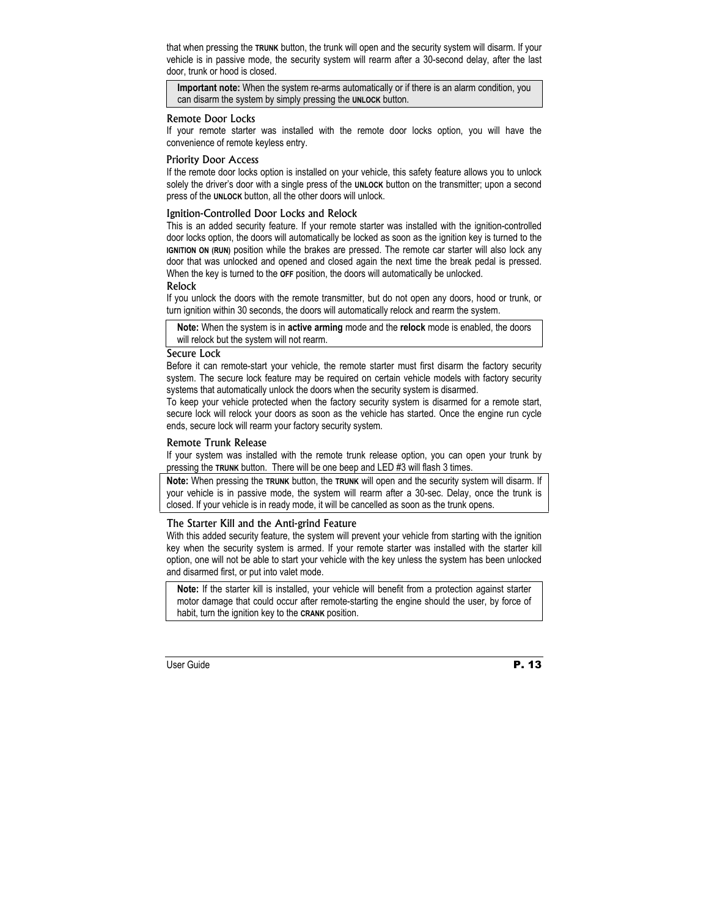that when pressing the **TRUNK** button, the trunk will open and the security system will disarm. If your vehicle is in passive mode, the security system will rearm after a 30-second delay, after the last door, trunk or hood is closed.

**Important note:** When the system re-arms automatically or if there is an alarm condition, you can disarm the system by simply pressing the **UNLOCK** button.

#### Remote Door Locks

If your remote starter was installed with the remote door locks option, you will have the convenience of remote keyless entry.

#### Priority Door Access

If the remote door locks option is installed on your vehicle, this safety feature allows you to unlock solely the driver's door with a single press of the **UNLOCK** button on the transmitter; upon a second press of the **UNLOCK** button, all the other doors will unlock.

#### Ignition-Controlled Door Locks and Relock

This is an added security feature. If your remote starter was installed with the ignition-controlled door locks option, the doors will automatically be locked as soon as the ignition key is turned to the **IGNITION ON (RUN)** position while the brakes are pressed. The remote car starter will also lock any door that was unlocked and opened and closed again the next time the break pedal is pressed. When the key is turned to the **OFF** position, the doors will automatically be unlocked.

#### Relock

If you unlock the doors with the remote transmitter, but do not open any doors, hood or trunk, or turn ignition within 30 seconds, the doors will automatically relock and rearm the system.

**Note:** When the system is in **active arming** mode and the **relock** mode is enabled, the doors will relock but the system will not rearm.

#### Secure Lock

Before it can remote-start your vehicle, the remote starter must first disarm the factory security system. The secure lock feature may be required on certain vehicle models with factory security systems that automatically unlock the doors when the security system is disarmed.

To keep your vehicle protected when the factory security system is disarmed for a remote start, secure lock will relock your doors as soon as the vehicle has started. Once the engine run cycle ends, secure lock will rearm your factory security system.

#### Remote Trunk Release

If your system was installed with the remote trunk release option, you can open your trunk by pressing the **TRUNK** button. There will be one beep and LED #3 will flash 3 times.

**Note:** When pressing the **TRUNK** button, the **TRUNK** will open and the security system will disarm. If your vehicle is in passive mode, the system will rearm after a 30-sec. Delay, once the trunk is closed. If your vehicle is in ready mode, it will be cancelled as soon as the trunk opens.

#### The Starter Kill and the Anti-grind Feature

With this added security feature, the system will prevent your vehicle from starting with the ignition key when the security system is armed. If your remote starter was installed with the starter kill option, one will not be able to start your vehicle with the key unless the system has been unlocked and disarmed first, or put into valet mode.

**Note:** If the starter kill is installed, your vehicle will benefit from a protection against starter motor damage that could occur after remote-starting the engine should the user, by force of habit, turn the ignition key to the **CRANK** position.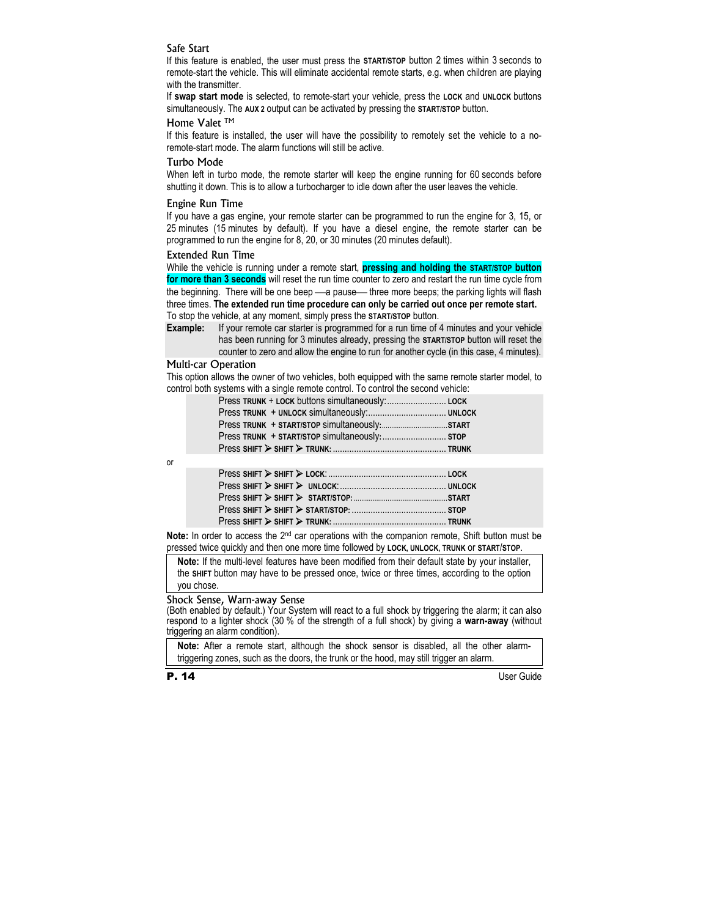#### Safe Start

If this feature is enabled, the user must press the **START/STOP** button 2 times within 3 seconds to remote-start the vehicle. This will eliminate accidental remote starts, e.g. when children are playing with the transmitter.

If **swap start mode** is selected, to remote-start your vehicle, press the **LOCK** and **UNLOCK** buttons simultaneously. The **AUX 2** output can be activated by pressing the **START/STOP** button.

#### Home Valet <sup>TM</sup>

If this feature is installed, the user will have the possibility to remotely set the vehicle to a noremote-start mode. The alarm functions will still be active.

#### Turbo Mode

When left in turbo mode, the remote starter will keep the engine running for 60 seconds before shutting it down. This is to allow a turbocharger to idle down after the user leaves the vehicle.

#### Engine Run Time

If you have a gas engine, your remote starter can be programmed to run the engine for 3, 15, or 25 minutes (15 minutes by default). If you have a diesel engine, the remote starter can be programmed to run the engine for 8, 20, or 30 minutes (20 minutes default).

#### Extended Run Time

While the vehicle is running under a remote start, **pressing and holding the START/STOP button for more than 3 seconds** will reset the run time counter to zero and restart the run time cycle from the beginning. There will be one beep - a pause - three more beeps; the parking lights will flash three times. **The extended run time procedure can only be carried out once per remote start.**  To stop the vehicle, at any moment, simply press the **START/STOP** button.

**Example:** If your remote car starter is programmed for a run time of 4 minutes and your vehicle has been running for 3 minutes already, pressing the **START/STOP** button will reset the counter to zero and allow the engine to run for another cycle (in this case, 4 minutes).

#### Multi-car Operation

This option allows the owner of two vehicles, both equipped with the same remote starter model, to control both systems with a single remote control. To control the second vehicle:

| Press TRUNK + START/STOP simultaneously: STOP |  |
|-----------------------------------------------|--|
|                                               |  |
|                                               |  |

or

**Note:** In order to access the 2nd car operations with the companion remote, Shift button must be pressed twice quickly and then one more time followed by **LOCK, UNLOCK, TRUNK** or **START**/**STOP**.

**Note:** If the multi-level features have been modified from their default state by your installer, the **SHIFT** button may have to be pressed once, twice or three times, according to the option you chose.

#### Shock Sense, Warn-away Sense

(Both enabled by default.) Your System will react to a full shock by triggering the alarm; it can also respond to a lighter shock (30 % of the strength of a full shock) by giving a **warn-away** (without triggering an alarm condition).

**Note:** After a remote start, although the shock sensor is disabled, all the other alarmtriggering zones, such as the doors, the trunk or the hood, may still trigger an alarm.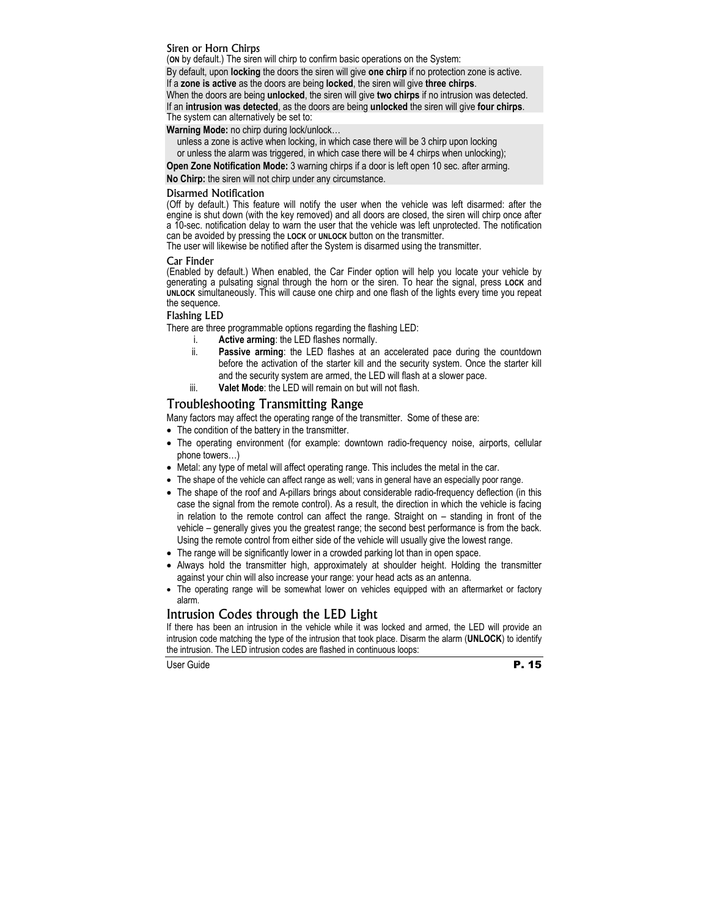#### Siren or Horn Chirps

(**ON** by default.) The siren will chirp to confirm basic operations on the System:

By default, upon **locking** the doors the siren will give **one chirp** if no protection zone is active. If a **zone is active** as the doors are being **locked**, the siren will give **three chirps**.

When the doors are being **unlocked**, the siren will give **two chirps** if no intrusion was detected. If an **intrusion was detected**, as the doors are being **unlocked** the siren will give **four chirps**.

The system can alternatively be set to:

**Warning Mode:** no chirp during lock/unlock…

unless a zone is active when locking, in which case there will be 3 chirp upon locking

or unless the alarm was triggered, in which case there will be 4 chirps when unlocking);

**Open Zone Notification Mode:** 3 warning chirps if a door is left open 10 sec. after arming.

**No Chirp:** the siren will not chirp under any circumstance.

#### Disarmed Notification

(Off by default.) This feature will notify the user when the vehicle was left disarmed: after the engine is shut down (with the key removed) and all doors are closed, the siren will chirp once after a 10-sec. notification delay to warn the user that the vehicle was left unprotected. The notification can be avoided by pressing the **LOCK** or **UNLOCK** button on the transmitter.

The user will likewise be notified after the System is disarmed using the transmitter.

#### Car Finder

(Enabled by default.) When enabled, the Car Finder option will help you locate your vehicle by generating a pulsating signal through the horn or the siren. To hear the signal, press **LOCK** and **UNLOCK** simultaneously. This will cause one chirp and one flash of the lights every time you repeat the sequence.

#### Flashing LED

There are three programmable options regarding the flashing LED:

- i. **Active arming**: the LED flashes normally.
- ii. **Passive arming**: the LED flashes at an accelerated pace during the countdown before the activation of the starter kill and the security system. Once the starter kill and the security system are armed, the LED will flash at a slower pace.
- iii. **Valet Mode**: the LED will remain on but will not flash.

## Troubleshooting Transmitting Range

Many factors may affect the operating range of the transmitter. Some of these are:

- The condition of the battery in the transmitter.
- The operating environment (for example: downtown radio-frequency noise, airports, cellular phone towers…)
- Metal: any type of metal will affect operating range. This includes the metal in the car.
- The shape of the vehicle can affect range as well; vans in general have an especially poor range.
- The shape of the roof and A-pillars brings about considerable radio-frequency deflection (in this case the signal from the remote control). As a result, the direction in which the vehicle is facing in relation to the remote control can affect the range. Straight on – standing in front of the vehicle – generally gives you the greatest range; the second best performance is from the back. Using the remote control from either side of the vehicle will usually give the lowest range.
- The range will be significantly lower in a crowded parking lot than in open space.
- Always hold the transmitter high, approximately at shoulder height. Holding the transmitter against your chin will also increase your range: your head acts as an antenna.
- The operating range will be somewhat lower on vehicles equipped with an aftermarket or factory alarm.

## Intrusion Codes through the LED Light

If there has been an intrusion in the vehicle while it was locked and armed, the LED will provide an intrusion code matching the type of the intrusion that took place. Disarm the alarm (**UNLOCK**) to identify the intrusion. The LED intrusion codes are flashed in continuous loops: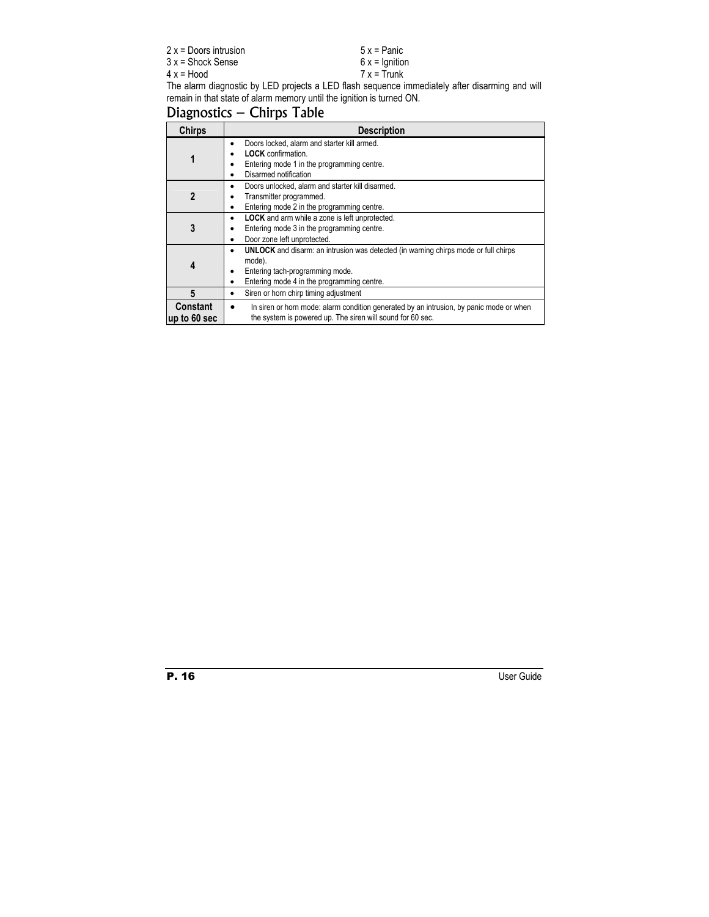| $2x =$ Doors intrusion | $5x =$ Panic    |
|------------------------|-----------------|
| $3x =$ Shock Sense     | $6x =$ Ignition |
| $4x = Hood$            | $7x = Trunk$    |

The alarm diagnostic by LED projects a LED flash sequence immediately after disarming and will remain in that state of alarm memory until the ignition is turned ON.

# Diagnostics – Chirps Table

| <b>Chirps</b>                   | <b>Description</b>                                                                                                                                                                              |  |  |  |
|---------------------------------|-------------------------------------------------------------------------------------------------------------------------------------------------------------------------------------------------|--|--|--|
| 1                               | Doors locked, alarm and starter kill armed.<br>٠<br><b>LOCK</b> confirmation.<br>Entering mode 1 in the programming centre.<br>Disarmed notification<br>٠                                       |  |  |  |
| $\overline{2}$                  | Doors unlocked, alarm and starter kill disarmed.<br>٠<br>Transmitter programmed.<br>Entering mode 2 in the programming centre.<br>٠                                                             |  |  |  |
| 3                               | <b>LOCK</b> and arm while a zone is left unprotected.<br>٠<br>Entering mode 3 in the programming centre.<br>Door zone left unprotected.<br>٠                                                    |  |  |  |
| 4                               | <b>UNLOCK</b> and disarm: an intrusion was detected (in warning chirps mode or full chirps<br>٠<br>mode).<br>Entering tach-programming mode.<br>Entering mode 4 in the programming centre.<br>٠ |  |  |  |
| 5                               | Siren or horn chirp timing adjustment<br>٠                                                                                                                                                      |  |  |  |
| <b>Constant</b><br>up to 60 sec | In siren or horn mode: alarm condition generated by an intrusion, by panic mode or when<br>the system is powered up. The siren will sound for 60 sec.                                           |  |  |  |